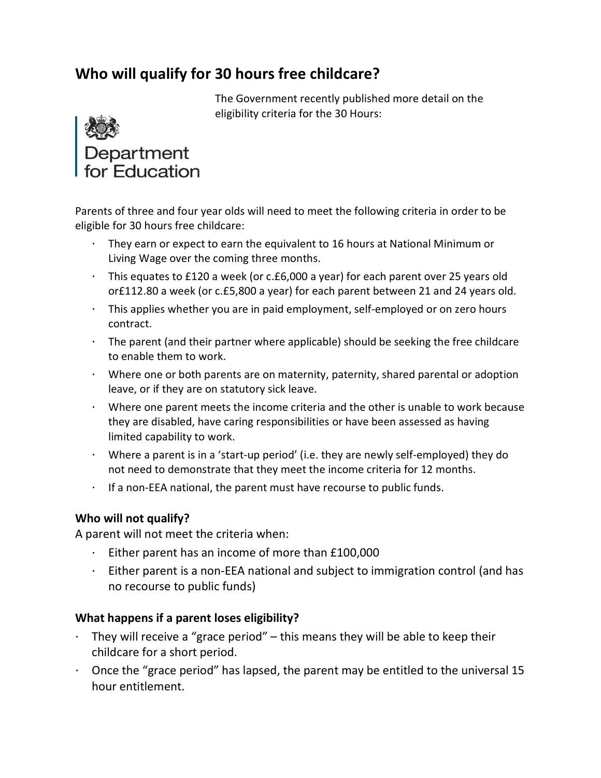## Who will qualify for 30 hours free childcare?

The Government recently published more detail on the eligibility criteria for the 30 Hours:



Parents of three and four year olds will need to meet the following criteria in order to be eligible for 30 hours free childcare:

- They earn or expect to earn the equivalent to 16 hours at National Minimum or Living Wage over the coming three months.
- This equates to £120 a week (or c.£6,000 a year) for each parent over 25 years old or£112.80 a week (or c.£5,800 a year) for each parent between 21 and 24 years old.
- This applies whether you are in paid employment, self-employed or on zero hours contract.
- $\cdot$  The parent (and their partner where applicable) should be seeking the free childcare to enable them to work.
- Where one or both parents are on maternity, paternity, shared parental or adoption leave, or if they are on statutory sick leave.
- Where one parent meets the income criteria and the other is unable to work because they are disabled, have caring responsibilities or have been assessed as having limited capability to work.
- Where a parent is in a 'start-up period' (i.e. they are newly self-employed) they do not need to demonstrate that they meet the income criteria for 12 months.
- If a non-EEA national, the parent must have recourse to public funds.

## Who will not qualify?

A parent will not meet the criteria when:

- Either parent has an income of more than £100,000
- $\cdot$  Either parent is a non-EEA national and subject to immigration control (and has no recourse to public funds)

## What happens if a parent loses eligibility?

- They will receive a "grace period" this means they will be able to keep their childcare for a short period.
- $\cdot$  Once the "grace period" has lapsed, the parent may be entitled to the universal 15 hour entitlement.